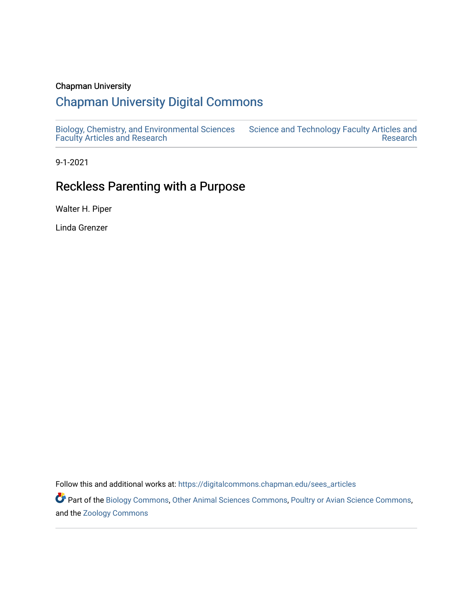#### Chapman University

# [Chapman University Digital Commons](https://digitalcommons.chapman.edu/)

[Biology, Chemistry, and Environmental Sciences](https://digitalcommons.chapman.edu/sees_articles) [Faculty Articles and Research](https://digitalcommons.chapman.edu/sees_articles) [Science and Technology Faculty Articles and](https://digitalcommons.chapman.edu/science_articles)  [Research](https://digitalcommons.chapman.edu/science_articles) 

9-1-2021

# Reckless Parenting with a Purpose

Walter H. Piper

Linda Grenzer

Follow this and additional works at: [https://digitalcommons.chapman.edu/sees\\_articles](https://digitalcommons.chapman.edu/sees_articles?utm_source=digitalcommons.chapman.edu%2Fsees_articles%2F468&utm_medium=PDF&utm_campaign=PDFCoverPages) 

Part of the [Biology Commons,](http://network.bepress.com/hgg/discipline/41?utm_source=digitalcommons.chapman.edu%2Fsees_articles%2F468&utm_medium=PDF&utm_campaign=PDFCoverPages) [Other Animal Sciences Commons](http://network.bepress.com/hgg/discipline/82?utm_source=digitalcommons.chapman.edu%2Fsees_articles%2F468&utm_medium=PDF&utm_campaign=PDFCoverPages), [Poultry or Avian Science Commons,](http://network.bepress.com/hgg/discipline/80?utm_source=digitalcommons.chapman.edu%2Fsees_articles%2F468&utm_medium=PDF&utm_campaign=PDFCoverPages) and the [Zoology Commons](http://network.bepress.com/hgg/discipline/81?utm_source=digitalcommons.chapman.edu%2Fsees_articles%2F468&utm_medium=PDF&utm_campaign=PDFCoverPages)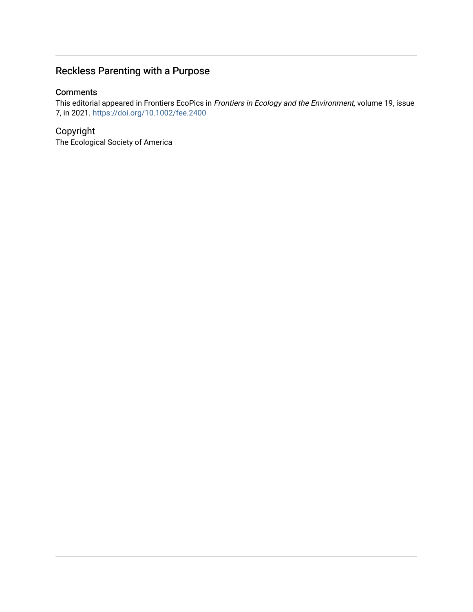# Reckless Parenting with a Purpose

#### **Comments**

This editorial appeared in Frontiers EcoPics in Frontiers in Ecology and the Environment, volume 19, issue 7, in 2021. <https://doi.org/10.1002/fee.2400>

### Copyright

The Ecological Society of America